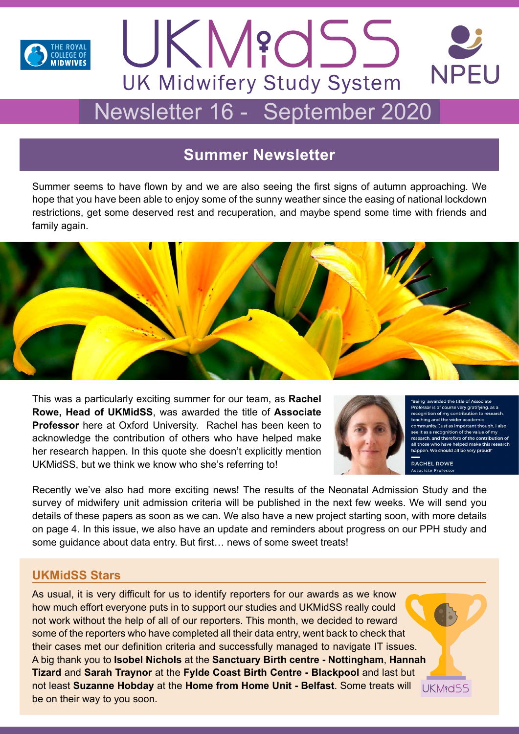

# **NPFU UK Midwifery Study System** Newsletter 16 - September 2020

UKM?dSS

## **Summer Newsletter**

Summer seems to have flown by and we are also seeing the first signs of autumn approaching. We hope that you have been able to enjoy some of the sunny weather since the easing of national lockdown restrictions, get some deserved rest and recuperation, and maybe spend some time with friends and family again.



This was a particularly exciting summer for our team, as **Rachel Rowe, Head of UKMidSS**, was awarded the title of **Associate Professor** here at Oxford University. Rachel has been keen to acknowledge the contribution of others who have helped make her research happen. In this quote she doesn't explicitly mention UKMidSS, but we think we know who she's referring to!



 $\Delta$  the title of  $\Delta$ sor is of course very gratifying, as a isser is at addition to research inition of my contribution to research teaching and the wider academic nity. Just as important though, I also see it as a recognition of the value of my erefore of the contribution all those who have helped make this rese en. We should all be very proud

RACHEL ROWE

Recently we've also had more exciting news! The results of the Neonatal Admission Study and the survey of midwifery unit admission criteria will be published in the next few weeks. We will send you details of these papers as soon as we can. We also have a new project starting soon, with more details on page 4. In this issue, we also have an update and reminders about progress on our PPH study and some guidance about data entry. But first… news of some sweet treats!

## **UKMidSS Stars**

As usual, it is very difficult for us to identify reporters for our awards as we know how much effort everyone puts in to support our studies and UKMidSS really could not work without the help of all of our reporters. This month, we decided to reward some of the reporters who have completed all their data entry, went back to check that their cases met our definition criteria and successfully managed to navigate IT issues. A big thank you to **Isobel Nichols** at the **Sanctuary Birth centre - Nottingham**, **Hannah Tizard** and **Sarah Traynor** at the **Fylde Coast Birth Centre - Blackpool** and last but not least **Suzanne Hobday** at the **Home from Home Unit - Belfast**. Some treats will be on their way to you soon.

**UKM**<sub>8</sub>d55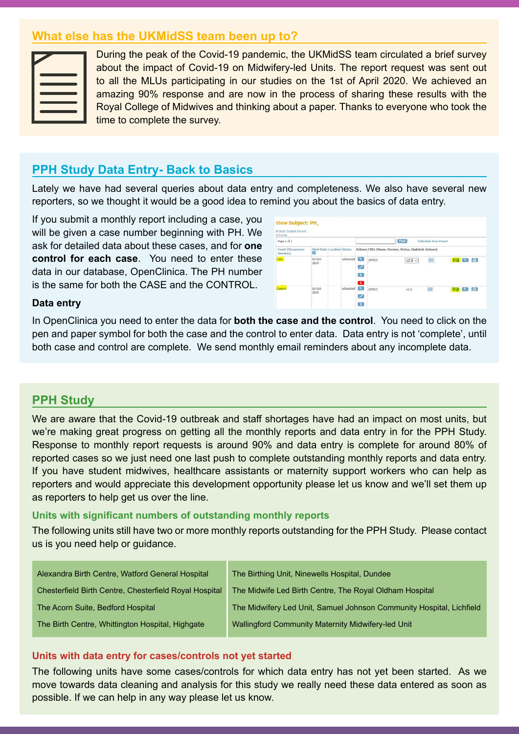## **What else has the UKMidSS team been up to?**

During the peak of the Covid-19 pandemic, the UKMidSS team circulated a brief survey about the impact of Covid-19 on Midwifery-led Units. The report request was sent out to all the MLUs participating in our studies on the 1st of April 2020. We achieved an amazing 90% response and are now in the process of sharing these results with the Royal College of Midwives and thinking about a paper. Thanks to everyone who took the time to complete the survey.

## **PPH Study Data Entry- Back to Basics**

Lately we have had several queries about data entry and completeness. We also have several new reporters, so we thought it would be a good idea to remind you about the basics of data entry.

If you submit a monthly report including a case, you will be given a case number beginning with PH. We ask for detailed data about these cases, and for **one control for each case**. You need to enter these data in our database, OpenClinica. The PH number is the same for both the CASE and the CONTROL.



#### **Data entry**

In OpenClinica you need to enter the data for **both the case and the control**. You need to click on the pen and paper symbol for both the case and the control to enter data. Data entry is not 'complete', until both case and control are complete. We send monthly email reminders about any incomplete data.

## **PPH Study**

We are aware that the Covid-19 outbreak and staff shortages have had an impact on most units, but we're making great progress on getting all the monthly reports and data entry in for the PPH Study. Response to monthly report requests is around 90% and data entry is complete for around 80% of reported cases so we just need one last push to complete outstanding monthly reports and data entry. If you have student midwives, healthcare assistants or maternity support workers who can help as reporters and would appreciate this development opportunity please let us know and we'll set them up as reporters to help get us over the line.

#### **Units with significant numbers of outstanding monthly reports**

The following units still have two or more monthly reports outstanding for the PPH Study. Please contact us is you need help or guidance.

| Alexandra Birth Centre, Watford General Hospital       | The Birthing Unit, Ninewells Hospital, Dundee                        |  |
|--------------------------------------------------------|----------------------------------------------------------------------|--|
| Chesterfield Birth Centre, Chesterfield Royal Hospital | The Midwife Led Birth Centre, The Royal Oldham Hospital              |  |
| The Acorn Suite, Bedford Hospital                      | The Midwifery Led Unit, Samuel Johnson Community Hospital, Lichfield |  |
| The Birth Centre, Whittington Hospital, Highgate       | Wallingford Community Maternity Midwifery-led Unit                   |  |
|                                                        |                                                                      |  |

#### **Units with data entry for cases/controls not yet started**

The following units have some cases/controls for which data entry has not yet been started. As we move towards data cleaning and analysis for this study we really need these data entered as soon as possible. If we can help in any way please let us know.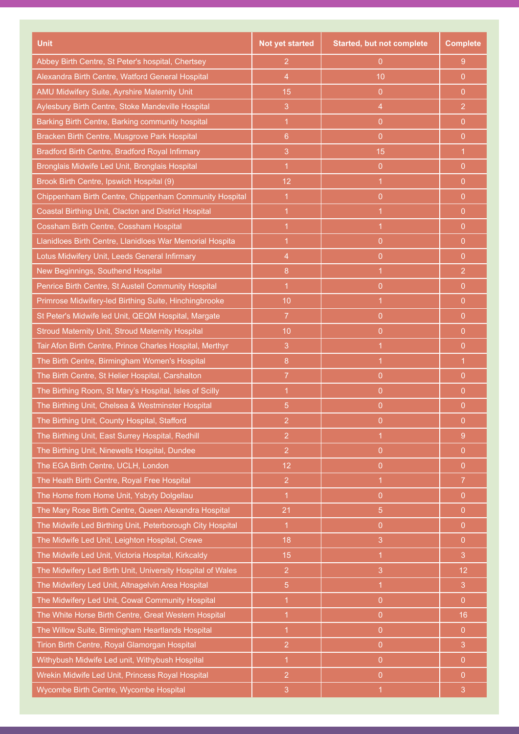| <b>Unit</b>                                                | <b>Not yet started</b> | <b>Started, but not complete</b> | <b>Complete</b> |
|------------------------------------------------------------|------------------------|----------------------------------|-----------------|
| Abbey Birth Centre, St Peter's hospital, Chertsey          | $\overline{2}$         | $\overline{0}$                   | 9               |
| Alexandra Birth Centre, Watford General Hospital           | $\overline{4}$         | 10                               | 0               |
| AMU Midwifery Suite, Ayrshire Maternity Unit               | 15                     | $\overline{0}$                   | 0               |
| Aylesbury Birth Centre, Stoke Mandeville Hospital          | 3                      | $\overline{4}$                   | $\overline{2}$  |
| Barking Birth Centre, Barking community hospital           | 1                      | $\overline{0}$                   | $\mathbf{0}$    |
| Bracken Birth Centre, Musgrove Park Hospital               | 6                      | $\overline{0}$                   | 0               |
| Bradford Birth Centre, Bradford Royal Infirmary            | 3                      | 15                               | $\overline{1}$  |
| Bronglais Midwife Led Unit, Bronglais Hospital             | 1                      | $\overline{0}$                   | $\overline{0}$  |
| Brook Birth Centre, Ipswich Hospital (9)                   | 12                     | 1                                | 0               |
| Chippenham Birth Centre, Chippenham Community Hospital     | $\overline{1}$         | $\Omega$                         | 0               |
| Coastal Birthing Unit, Clacton and District Hospital       | 1                      | 1                                | 0               |
| Cossham Birth Centre, Cossham Hospital                     | 1                      | 1                                | $\Omega$        |
| Llanidloes Birth Centre, Llanidloes War Memorial Hospita   | 1                      | $\overline{0}$                   | 0               |
| Lotus Midwifery Unit, Leeds General Infirmary              | $\overline{4}$         | $\overline{0}$                   | $\overline{0}$  |
| New Beginnings, Southend Hospital                          | 8                      | 1                                | $\overline{2}$  |
| Penrice Birth Centre, St Austell Community Hospital        | 1                      | $\overline{0}$                   | 0               |
| Primrose Midwifery-led Birthing Suite, Hinchingbrooke      | 10                     | 1                                | $\Omega$        |
| St Peter's Midwife led Unit, QEQM Hospital, Margate        | $\overline{7}$         | $\overline{0}$                   | 0               |
| Stroud Maternity Unit, Stroud Maternity Hospital           | 10                     | $\overline{0}$                   | $\overline{0}$  |
| Tair Afon Birth Centre, Prince Charles Hospital, Merthyr   | 3                      | 1                                | 0               |
| The Birth Centre, Birmingham Women's Hospital              | 8                      | $\overline{1}$                   | $\overline{1}$  |
| The Birth Centre, St Helier Hospital, Carshalton           | $\overline{7}$         | $\overline{0}$                   | $\overline{0}$  |
| The Birthing Room, St Mary's Hospital, Isles of Scilly     | 1                      | $\Omega$                         | 0               |
| The Birthing Unit, Chelsea & Westminster Hospital          | 5                      | $\Omega$                         | 0               |
| The Birthing Unit, County Hospital, Stafford               | $\overline{c}$         | 0                                | 0               |
| The Birthing Unit, East Surrey Hospital, Redhill           | $\overline{2}$         | $\mathbf 1$                      | 9               |
| The Birthing Unit, Ninewells Hospital, Dundee              | $\overline{2}$         | $\overline{0}$                   | $\overline{0}$  |
| The EGA Birth Centre, UCLH, London                         | 12                     | $\overline{0}$                   | $\overline{0}$  |
| The Heath Birth Centre, Royal Free Hospital                | $\overline{2}$         | $\mathbf{1}$                     | $\overline{7}$  |
| The Home from Home Unit, Ysbyty Dolgellau                  | $\overline{1}$         | $\overline{0}$                   | $\overline{0}$  |
| The Mary Rose Birth Centre, Queen Alexandra Hospital       | 21                     | 5                                | $\overline{0}$  |
| The Midwife Led Birthing Unit, Peterborough City Hospital  | $\overline{1}$         | $\overline{0}$                   | $\overline{0}$  |
| The Midwife Led Unit, Leighton Hospital, Crewe             | 18                     | 3                                | $\overline{0}$  |
| The Midwife Led Unit, Victoria Hospital, Kirkcaldy         | 15                     | $\mathbf{1}$                     | 3               |
| The Midwifery Led Birth Unit, University Hospital of Wales | $\overline{2}$         | 3                                | 12              |
| The Midwifery Led Unit, Altnagelvin Area Hospital          | $\overline{5}$         | $\mathbf{1}$                     | 3               |
| The Midwifery Led Unit, Cowal Community Hospital           | 1                      | $\overline{0}$                   | $\overline{0}$  |
| The White Horse Birth Centre, Great Western Hospital       |                        | $\overline{0}$                   | 16              |
| The Willow Suite, Birmingham Heartlands Hospital           | $\overline{1}$         | $\overline{0}$                   | $\mathbf{0}$    |
| Tirion Birth Centre, Royal Glamorgan Hospital              | $\overline{2}$         | $\overline{0}$                   | 3               |
| Withybush Midwife Led unit, Withybush Hospital             | $\overline{1}$         | $\overline{0}$                   | $\overline{0}$  |
| Wrekin Midwife Led Unit, Princess Royal Hospital           | $\overline{2}$         | $\overline{0}$                   | $\overline{0}$  |
| Wycombe Birth Centre, Wycombe Hospital                     | $\mathbf{3}$           | $\overline{1}$                   | $\overline{3}$  |